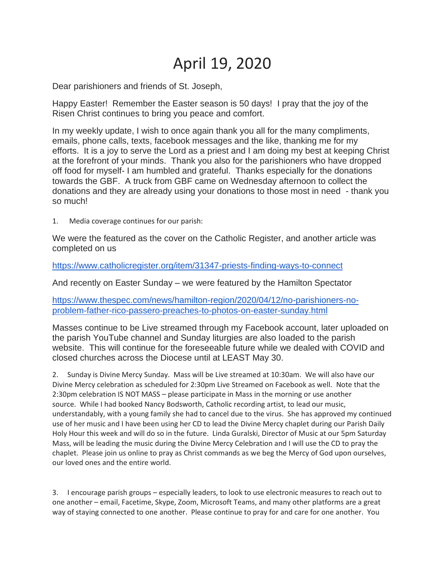## April 19, 2020

Dear parishioners and friends of St. Joseph,

Happy Easter! Remember the Easter season is 50 days! I pray that the joy of the Risen Christ continues to bring you peace and comfort.

In my weekly update, I wish to once again thank you all for the many compliments, emails, phone calls, texts, facebook messages and the like, thanking me for my efforts. It is a joy to serve the Lord as a priest and I am doing my best at keeping Christ at the forefront of your minds. Thank you also for the parishioners who have dropped off food for myself- I am humbled and grateful. Thanks especially for the donations towards the GBF. A truck from GBF came on Wednesday afternoon to collect the donations and they are already using your donations to those most in need - thank you so much!

1. Media coverage continues for our parish:

We were the featured as the cover on the Catholic Register, and another article was completed on us

<https://www.catholicregister.org/item/31347-priests-finding-ways-to-connect>

And recently on Easter Sunday – we were featured by the Hamilton Spectator

[https://www.thespec.com/news/hamilton-region/2020/04/12/no-parishioners-no](https://www.thespec.com/news/hamilton-region/2020/04/12/no-parishioners-no-problem-father-rico-passero-preaches-to-photos-on-easter-sunday.html)[problem-father-rico-passero-preaches-to-photos-on-easter-sunday.html](https://www.thespec.com/news/hamilton-region/2020/04/12/no-parishioners-no-problem-father-rico-passero-preaches-to-photos-on-easter-sunday.html)

Masses continue to be Live streamed through my Facebook account, later uploaded on the parish YouTube channel and Sunday liturgies are also loaded to the parish website. This will continue for the foreseeable future while we dealed with COVID and closed churches across the Diocese until at LEAST May 30.

2. Sunday is Divine Mercy Sunday. Mass will be Live streamed at 10:30am. We will also have our Divine Mercy celebration as scheduled for 2:30pm Live Streamed on Facebook as well. Note that the 2:30pm celebration IS NOT MASS – please participate in Mass in the morning or use another source. While I had booked Nancy Bodsworth, Catholic recording artist, to lead our music, understandably, with a young family she had to cancel due to the virus. She has approved my continued use of her music and I have been using her CD to lead the Divine Mercy chaplet during our Parish Daily Holy Hour this week and will do so in the future. Linda Guralski, Director of Music at our 5pm Saturday Mass, will be leading the music during the Divine Mercy Celebration and I will use the CD to pray the chaplet. Please join us online to pray as Christ commands as we beg the Mercy of God upon ourselves, our loved ones and the entire world.

3. I encourage parish groups – especially leaders, to look to use electronic measures to reach out to one another – email, Facetime, Skype, Zoom, Microsoft Teams, and many other platforms are a great way of staying connected to one another. Please continue to pray for and care for one another. You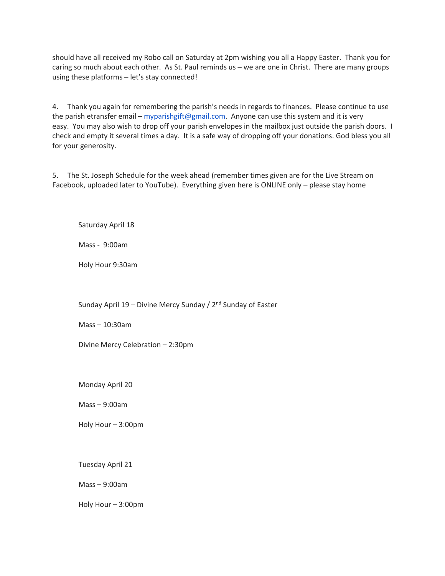should have all received my Robo call on Saturday at 2pm wishing you all a Happy Easter. Thank you for caring so much about each other. As St. Paul reminds us – we are one in Christ. There are many groups using these platforms – let's stay connected!

4. Thank you again for remembering the parish's needs in regards to finances. Please continue to use the parish etransfer email – [myparishgift@gmail.com.](mailto:myparishgift@gmail.com) Anyone can use this system and it is very easy. You may also wish to drop off your parish envelopes in the mailbox just outside the parish doors. I check and empty it several times a day. It is a safe way of dropping off your donations. God bless you all for your generosity.

5. The St. Joseph Schedule for the week ahead (remember times given are for the Live Stream on Facebook, uploaded later to YouTube). Everything given here is ONLINE only – please stay home

Saturday April 18

Mass - 9:00am

Holy Hour 9:30am

Sunday April 19 – Divine Mercy Sunday /  $2<sup>nd</sup>$  Sunday of Easter

Mass – 10:30am

Divine Mercy Celebration – 2:30pm

Monday April 20

Mass – 9:00am

Holy Hour – 3:00pm

Tuesday April 21

Mass – 9:00am

Holy Hour – 3:00pm